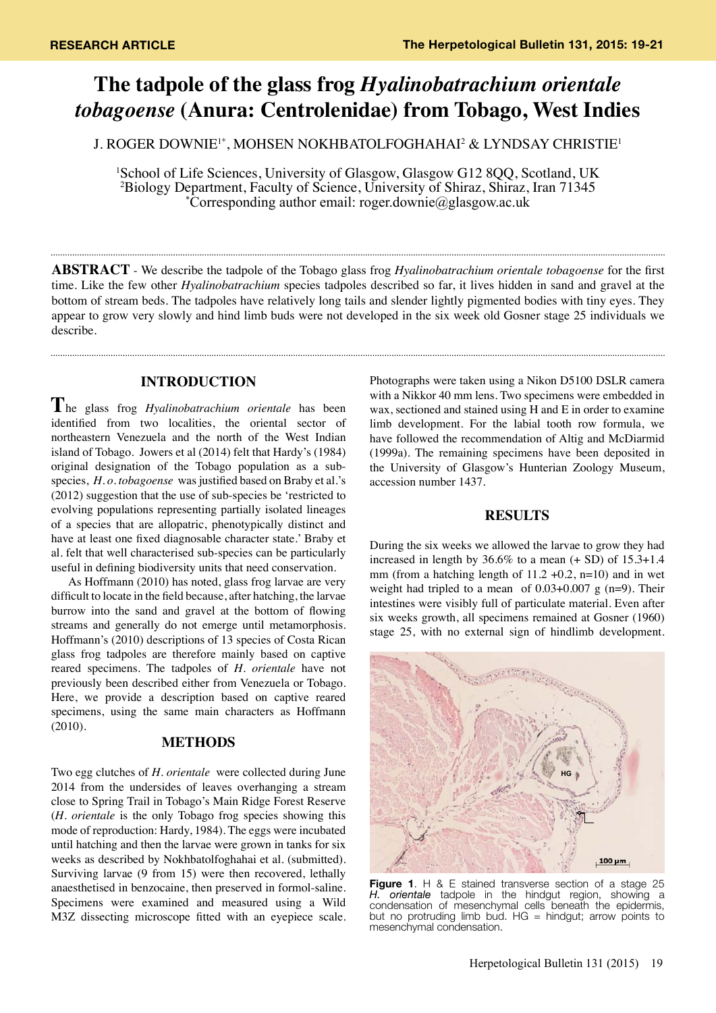# **The tadpole of the glass frog** *Hyalinobatrachium orientale tobagoense* **(Anura: Centrolenidae) from Tobago, West Indies**

J. ROGER DOWNIE1\*, MOHSEN NOKHBATOLFOGHAHAI2 & LYNDSAY CHRISTIE1

<sup>1</sup>School of Life Sciences, University of Glasgow, Glasgow G12 8QQ, Scotland, UK <sup>2</sup>Biology Department, Faculty of Science, University of Shiraz, Shiraz, Iran 71345<sup>2</sup><br>Corresponding author email: roger downie@glasgow ac uk\* Corresponding author email: roger.downie@glasgow.ac.uk

**ABSTRACT** - We describe the tadpole of the Tobago glass frog *Hyalinobatrachium orientale tobagoense* for the first time. Like the few other *Hyalinobatrachium* species tadpoles described so far, it lives hidden in sand and gravel at the bottom of stream beds. The tadpoles have relatively long tails and slender lightly pigmented bodies with tiny eyes. They appear to grow very slowly and hind limb buds were not developed in the six week old Gosner stage 25 individuals we describe.

## **INTRODUCTION**

**T**he glass frog *Hyalinobatrachium orientale* has been identified from two localities, the oriental sector of northeastern Venezuela and the north of the West Indian island of Tobago. Jowers et al (2014) felt that Hardy's (1984) original designation of the Tobago population as a subspecies, *H. o. tobagoense* was justified based on Braby et al.'s (2012) suggestion that the use of sub-species be 'restricted to evolving populations representing partially isolated lineages of a species that are allopatric, phenotypically distinct and have at least one fixed diagnosable character state.' Braby et al. felt that well characterised sub-species can be particularly useful in defining biodiversity units that need conservation.

As Hoffmann (2010) has noted, glass frog larvae are very difficult to locate in the field because, after hatching, the larvae burrow into the sand and gravel at the bottom of flowing streams and generally do not emerge until metamorphosis. Hoffmann's (2010) descriptions of 13 species of Costa Rican glass frog tadpoles are therefore mainly based on captive reared specimens. The tadpoles of *H. orientale* have not previously been described either from Venezuela or Tobago. Here, we provide a description based on captive reared specimens, using the same main characters as Hoffmann (2010).

### **METHODS**

Two egg clutches of *H. orientale* were collected during June 2014 from the undersides of leaves overhanging a stream close to Spring Trail in Tobago's Main Ridge Forest Reserve (*H. orientale* is the only Tobago frog species showing this mode of reproduction: Hardy, 1984). The eggs were incubated until hatching and then the larvae were grown in tanks for six weeks as described by Nokhbatolfoghahai et al. (submitted). Surviving larvae (9 from 15) were then recovered, lethally anaesthetised in benzocaine, then preserved in formol-saline. Specimens were examined and measured using a Wild M3Z dissecting microscope fitted with an eyepiece scale.

Photographs were taken using a Nikon D5100 DSLR camera with a Nikkor 40 mm lens. Two specimens were embedded in wax, sectioned and stained using H and E in order to examine limb development. For the labial tooth row formula, we have followed the recommendation of Altig and McDiarmid (1999a). The remaining specimens have been deposited in the University of Glasgow's Hunterian Zoology Museum, accession number 1437.

#### **RESULTS**

During the six weeks we allowed the larvae to grow they had increased in length by  $36.6\%$  to a mean  $(+ SD)$  of  $15.3+1.4$ mm (from a hatching length of  $11.2 +0.2$ , n=10) and in wet weight had tripled to a mean of  $0.03+0.007$  g (n=9). Their intestines were visibly full of particulate material. Even after six weeks growth, all specimens remained at Gosner (1960) stage 25, with no external sign of hindlimb development.



**Figure 1**. H & E stained transverse section of a stage 25 *H. orientale* tadpole in the hindgut region, showing a condensation of mesenchymal cells beneath the epidermis, but no protruding limb bud. HG = hindgut; arrow points to mesenchymal condensation.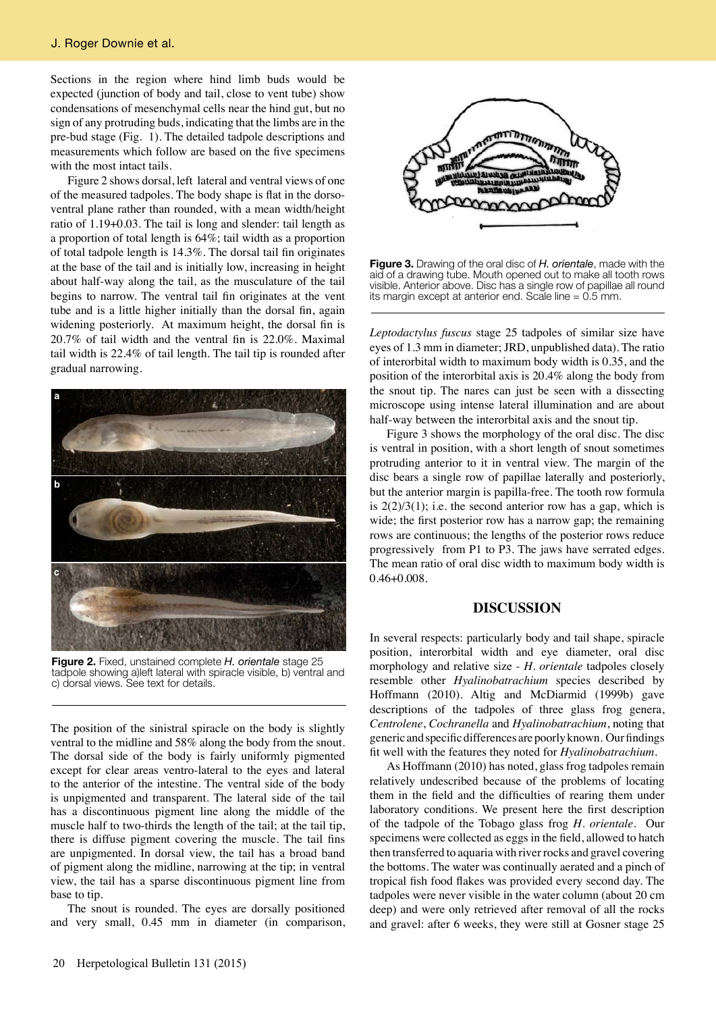Sections in the region where hind limb buds would be expected (junction of body and tail, close to vent tube) show condensations of mesenchymal cells near the hind gut, but no sign of any protruding buds, indicating that the limbs are in the pre-bud stage (Fig. 1). The detailed tadpole descriptions and measurements which follow are based on the five specimens with the most intact tails.

Figure 2 shows dorsal, left lateral and ventral views of one of the measured tadpoles. The body shape is flat in the dorsoventral plane rather than rounded, with a mean width/height ratio of 1.19+0.03. The tail is long and slender: tail length as a proportion of total length is 64%; tail width as a proportion of total tadpole length is 14.3%. The dorsal tail fin originates at the base of the tail and is initially low, increasing in height about half-way along the tail, as the musculature of the tail begins to narrow. The ventral tail fin originates at the vent tube and is a little higher initially than the dorsal fin, again widening posteriorly. At maximum height, the dorsal fin is 20.7% of tail width and the ventral fin is 22.0%. Maximal tail width is 22.4% of tail length. The tail tip is rounded after gradual narrowing.



**Figure 2.** Fixed, unstained complete *H. orientale* stage 25 tadpole showing a)left lateral with spiracle visible, b) ventral and c) dorsal views. See text for details.

The position of the sinistral spiracle on the body is slightly ventral to the midline and 58% along the body from the snout. The dorsal side of the body is fairly uniformly pigmented except for clear areas ventro-lateral to the eyes and lateral to the anterior of the intestine. The ventral side of the body is unpigmented and transparent. The lateral side of the tail has a discontinuous pigment line along the middle of the muscle half to two-thirds the length of the tail; at the tail tip, there is diffuse pigment covering the muscle. The tail fins are unpigmented. In dorsal view, the tail has a broad band of pigment along the midline, narrowing at the tip; in ventral view, the tail has a sparse discontinuous pigment line from base to tip.

The snout is rounded. The eyes are dorsally positioned and very small, 0.45 mm in diameter (in comparison,



**Figure 3.** Drawing of the oral disc of *H. orientale*, made with the aid of a drawing tube. Mouth opened out to make all tooth rows visible. Anterior above. Disc has a single row of papillae all round its margin except at anterior end. Scale line = 0.5 mm.

*Leptodactylus fuscus* stage 25 tadpoles of similar size have eyes of 1.3 mm in diameter; JRD, unpublished data). The ratio of interorbital width to maximum body width is 0.35, and the position of the interorbital axis is 20.4% along the body from the snout tip. The nares can just be seen with a dissecting microscope using intense lateral illumination and are about half-way between the interorbital axis and the snout tip.

Figure 3 shows the morphology of the oral disc. The disc is ventral in position, with a short length of snout sometimes protruding anterior to it in ventral view. The margin of the disc bears a single row of papillae laterally and posteriorly, but the anterior margin is papilla-free. The tooth row formula is  $2(2)/3(1)$ ; i.e. the second anterior row has a gap, which is wide; the first posterior row has a narrow gap; the remaining rows are continuous; the lengths of the posterior rows reduce progressively from P1 to P3. The jaws have serrated edges. The mean ratio of oral disc width to maximum body width is 0.46+0.008.

#### **DISCUSSION**

In several respects: particularly body and tail shape, spiracle position, interorbital width and eye diameter, oral disc morphology and relative size - *H. orientale* tadpoles closely resemble other *Hyalinobatrachium* species described by Hoffmann (2010). Altig and McDiarmid (1999b) gave descriptions of the tadpoles of three glass frog genera, *Centrolene*, *Cochranella* and *Hyalinobatrachium*, noting that generic and specific differences are poorly known. Our findings fit well with the features they noted for *Hyalinobatrachium*.

As Hoffmann (2010) has noted, glass frog tadpoles remain relatively undescribed because of the problems of locating them in the field and the difficulties of rearing them under laboratory conditions. We present here the first description of the tadpole of the Tobago glass frog *H. orientale*. Our specimens were collected as eggs in the field, allowed to hatch then transferred to aquaria with river rocks and gravel covering the bottoms. The water was continually aerated and a pinch of tropical fish food flakes was provided every second day. The tadpoles were never visible in the water column (about 20 cm deep) and were only retrieved after removal of all the rocks and gravel: after 6 weeks, they were still at Gosner stage 25